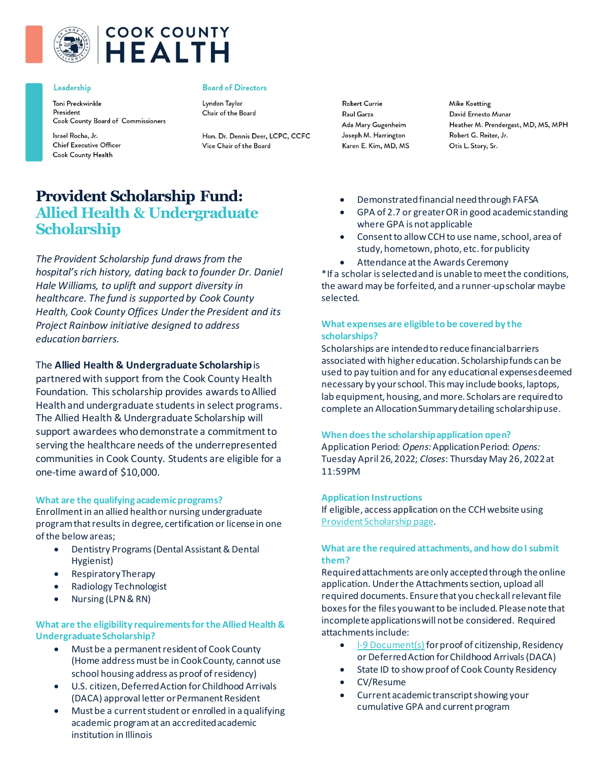

# **COOK COUNTY HEALTH**

#### Leadership

Toni Preckwinkle President Cook County Board of Commissioners

Israel Rocha, Jr. **Chief Executive Officer** Cook County Health

#### **Board of Directors**

Lyndon Taylor Chair of the Board

Hon. Dr. Dennis Deer, LCPC, CCFC Vice Chair of the Board

**Robert Currie** Raul Garza Ada Mary Gugenheim Joseph M. Harrington Karen E. Kim, MD, MS **Mike Koetting** David Ernesto Munar Heather M. Prendergast, MD, MS, MPH Robert G. Reiter, Jr. Otis L. Story, Sr.

# **Provident Scholarship Fund: Allied Health & Undergraduate Scholarship**

*The Provident Scholarship fund draws from the hospital's rich history, dating back to founder Dr. Daniel Hale Williams, to uplift and support diversity in healthcare. The fund is supported by Cook County Health, Cook County Offices Under the President and its Project Rainbow initiative designed to address education barriers.*

# The **Allied Health & Undergraduate Scholarship**is

partnered with support from the Cook County Health Foundation. This scholarship provides awards to Allied Health and undergraduate studentsin select programs. The Allied Health & Undergraduate Scholarship will support awardees who demonstrate a commitment to serving the healthcare needs of the underrepresented communities in Cook County. Students are eligible for a one-time award of \$10,000.

# **What are the qualifying academic programs?**

Enrollment in an allied health or nursing undergraduate program that results in degree, certification or license in one of the below areas;

- Dentistry Programs (Dental Assistant & Dental Hygienist)
- Respiratory Therapy
- Radiology Technologist
- Nursing (LPN & RN)

# **What are the eligibility requirements for the Allied Health & Undergraduate Scholarship?**

- Must be a permanent resident of Cook County (Home address must be in Cook County, cannot use school housing address as proof of residency)
- U.S. citizen, Deferred Action for Childhood Arrivals (DACA) approval letter or Permanent Resident
- Must be a current student or enrolled in a qualifying academic program at an accredited academic institution in Illinois
- Demonstrated financial needthrough FAFSA
- GPA of 2.7 or greater OR in good academic standing where GPA is not applicable
- Consent to allow CCH to use name, school, area of study, hometown, photo, etc. for publicity
- Attendance at the Awards Ceremony

\*If a scholar is selected and is unable to meet the conditions, the award may be forfeited, and a runner-up scholar maybe selected.

# **What expenses are eligible to be covered by the scholarships?**

Scholarships are intended to reduce financial barriers associated with higher education. Scholarship funds can be used to pay tuition and for any educational expenses deemed necessary by your school. This may include books, laptops, lab equipment, housing, and more. Scholars are required to complete an Allocation Summary detailing scholarship use.

#### **When does the scholarship application open?**

Application Period: *Opens:*Application Period: *Opens:* Tuesday April 26, 2022; *Closes*: Thursday May 26, 2022 at 11:59PM

#### **Application Instructions**

If eligible, access application on the CCH website using [Provident Scholarship page](https://cookcountyhealth.org/about/careers/provident-scholarship-fund/).

# **What are the required attachments, and how do I submit them?**

Required attachments areonly accepted through the online application. Under the Attachments section, upload all required documents. Ensure that you check all relevant file boxes for the files you want to be included. Please note that incomplete applications will not be considered. Required attachments include:

- [I-9 Document\(s\)](https://www.uscis.gov/i-9-central/form-i-9-acceptable-documents) for proof of citizenship, Residency or Deferred Action for Childhood Arrivals (DACA)
- State ID to show proof of Cook County Residency
- CV/Resume
- Current academic transcriptshowing your cumulative GPA and current program